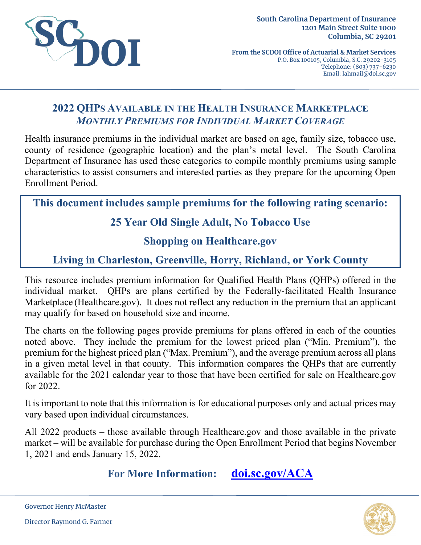

**From the SCDOI Office of Actuarial & Market Services** P.O. Box 100105, Columbia, S.C. 29202-3105 Telephone: (803) 737-6230 Email: lahmail@doi.sc.gov

# **2022 QHPS AVAILABLE IN THE HEALTH INSURANCE MARKETPLACE** *MONTHLY PREMIUMS FOR INDIVIDUAL MARKET COVERAGE*

Health insurance premiums in the individual market are based on age, family size, tobacco use, county of residence (geographic location) and the plan's metal level. The South Carolina Department of Insurance has used these categories to compile monthly premiums using sample characteristics to assist consumers and interested parties as they prepare for the upcoming Open Enrollment Period.

**This document includes sample premiums for the following rating scenario:**

# **25 Year Old Single Adult, No Tobacco Use**

### **Shopping on Healthcare.gov**

# **Living in Charleston, Greenville, Horry, Richland, or York County**

This resource includes premium information for Qualified Health Plans (QHPs) offered in the individual market. QHPs are plans certified by the Federally-facilitated Health Insurance Marketplace (Healthcare.gov). It does not reflect any reduction in the premium that an applicant may qualify for based on household size and income.

The charts on the following pages provide premiums for plans offered in each of the counties noted above. They include the premium for the lowest priced plan ("Min. Premium"), the premium for the highest priced plan ("Max. Premium"), and the average premium across all plans in a given metal level in that county. This information compares the QHPs that are currently available for the 2021 calendar year to those that have been certified for sale on Healthcare.gov for 2022.

It is important to note that this information is for educational purposes only and actual prices may vary based upon individual circumstances.

All 2022 products – those available through Healthcare.gov and those available in the private market – will be available for purchase during the Open Enrollment Period that begins November 1, 2021 and ends January 15, 2022.

**For More Information: [doi.sc.gov/ACA](http://doi.sc.gov/aca)**



Governor Henry McMaster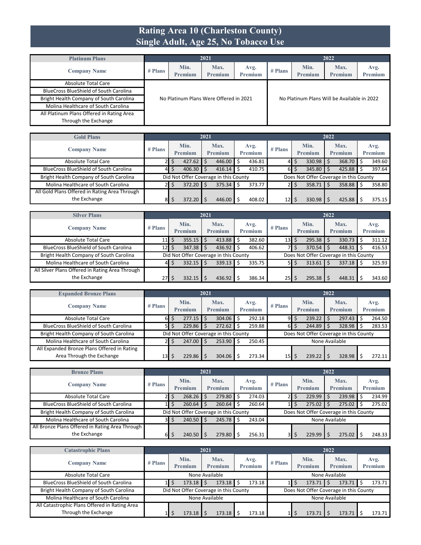#### **Rating Area 10 (Charleston County) Single Adult, Age 25, No Tobacco Use**

| <b>Platinum Plans</b>                         |           |                 | 2021                                   |                        |           |                                             | 2022                   |                 |
|-----------------------------------------------|-----------|-----------------|----------------------------------------|------------------------|-----------|---------------------------------------------|------------------------|-----------------|
| <b>Company Name</b>                           | $#$ Plans | Min.<br>Premium | Max.<br><b>Premium</b>                 | Avg.<br><b>Premium</b> | $#$ Plans | Min.<br>Premium                             | Max.<br><b>Premium</b> | Avg.<br>Premium |
| <b>Absolute Total Care</b>                    |           |                 |                                        |                        |           |                                             |                        |                 |
| <b>BlueCross BlueShield of South Carolina</b> |           |                 |                                        |                        |           |                                             |                        |                 |
| Bright Health Company of South Carolina       |           |                 | No Platinum Plans Were Offered in 2021 |                        |           | No Platinum Plans Will be Available in 2022 |                        |                 |
| Molina Healthcare of South Carolina           |           |                 |                                        |                        |           |                                             |                        |                 |
| All Platinum Plans Offered in Rating Area     |           |                 |                                        |                        |           |                                             |                        |                 |
| Through the Exchange                          |           |                 |                                        |                        |           |                                             |                        |                 |

| <b>Gold Plans</b>                             |           |                 | 2021 |                                       |                 |                 |    |                                        | 2022 |                        |                 |
|-----------------------------------------------|-----------|-----------------|------|---------------------------------------|-----------------|-----------------|----|----------------------------------------|------|------------------------|-----------------|
| <b>Company Name</b>                           | $#$ Plans | Min.<br>Premium |      | Max.<br>Premium                       | Avg.<br>Premium | $#$ Plans       |    | Min.<br>Premium                        |      | Max.<br><b>Premium</b> | Avg.<br>Premium |
| Absolute Total Care                           |           | 427.62          |      | 446.00                                | 436.81          | 41              | S  | 330.98                                 |      | 368.70 \$              | 349.60          |
| <b>BlueCross BlueShield of South Carolina</b> | 41        | 406.30          |      | 416.14                                | 410.75          | 61              | \$ | 345.80                                 |      | $425.88$ \$            | 397.64          |
| Bright Health Company of South Carolina       |           |                 |      | Did Not Offer Coverage in this County |                 |                 |    | Does Not Offer Coverage in this County |      |                        |                 |
| Molina Healthcare of South Carolina           |           | 372.20          |      | 375.34                                | 373.77          |                 | S  | 358.71                                 |      | 358.88 \$              | 358.80          |
| All Gold Plans Offered in Rating Area Through |           |                 |      |                                       |                 |                 |    |                                        |      |                        |                 |
| the Exchange                                  | 81        | 372.20          |      | 446.00                                | 408.02          | 12 <sup>1</sup> | Ŝ  | 330.98                                 |      | 425.88                 | 375.15          |

| <b>Silver Plans</b>                             |           |                        | 2021 |                                       |   |                 |                 |    |                                        | 2022 |                        |                 |
|-------------------------------------------------|-----------|------------------------|------|---------------------------------------|---|-----------------|-----------------|----|----------------------------------------|------|------------------------|-----------------|
| <b>Company Name</b>                             | $#$ Plans | Min.<br>Premium        |      | Max.<br><b>Premium</b>                |   | Avg.<br>Premium | $#$ Plans       |    | Min.<br>Premium                        |      | Max.<br><b>Premium</b> | Avg.<br>Premium |
| <b>Absolute Total Care</b>                      | 11        | $355.15$ $\frac{1}{5}$ |      | 413.88                                |   | 382.60          | 13              | Ŝ. | 295.38                                 |      | 330.73                 | 311.12          |
| <b>BlueCross BlueShield of South Carolina</b>   | 12        | 347.38                 |      | 436.92                                |   | 406.62          |                 |    | 370.54                                 |      | 448.31                 | 416.53          |
| Bright Health Company of South Carolina         |           |                        |      | Did Not Offer Coverage in this County |   |                 |                 |    | Does Not Offer Coverage in this County |      |                        |                 |
| Molina Healthcare of South Carolina             | 41        | $332.15$ S             |      | 339.13                                | S | 335.75          |                 |    | 313.61                                 |      | 337.18                 | 325.93          |
| All Silver Plans Offered in Rating Area Through |           |                        |      |                                       |   |                 |                 |    |                                        |      |                        |                 |
| the Exchange                                    | 27        | 332.15                 |      | 436.92                                |   | 386.34          | 25 <sub>l</sub> |    | 295.38                                 |      | 448.31                 | 343.60          |

| <b>Expanded Bronze Plans</b>                  |                 |                                                                                                                                            |                 | 2021 |                        |  |                 |                 |                         |                        | 2022 |                        |                 |
|-----------------------------------------------|-----------------|--------------------------------------------------------------------------------------------------------------------------------------------|-----------------|------|------------------------|--|-----------------|-----------------|-------------------------|------------------------|------|------------------------|-----------------|
| <b>Company Name</b>                           | $#$ Plans       |                                                                                                                                            | Min.<br>Premium |      | Max.<br><b>Premium</b> |  | Avg.<br>Premium | $#$ Plans       |                         | Min.<br><b>Premium</b> |      | Max.<br><b>Premium</b> | Avg.<br>Premium |
| <b>Absolute Total Care</b>                    | 61              |                                                                                                                                            | 277.15          |      | 304.06                 |  | 292.18          | 9I              | Ŝ.                      | 239.22                 |      | 297.43                 | 264.50          |
| <b>BlueCross BlueShield of South Carolina</b> | 5I              |                                                                                                                                            | 229.86          |      | 272.62                 |  | 259.88          |                 | $6\overline{\smash{5}}$ | 244.89                 |      | 328.98                 | 283.53          |
| Bright Health Company of South Carolina       |                 |                                                                                                                                            |                 |      |                        |  |                 |                 |                         |                        |      |                        |                 |
| Molina Healthcare of South Carolina           |                 | Did Not Offer Coverage in this County<br>Does Not Offer Coverage in this County<br>247.00<br>253.90<br>250.45<br>None Available<br>Ŝ<br>21 |                 |      |                        |  |                 |                 |                         |                        |      |                        |                 |
| All Expanded Bronze Plans Offered in Rating   |                 |                                                                                                                                            |                 |      |                        |  |                 |                 |                         |                        |      |                        |                 |
| Area Through the Exchange                     | 13 <sup>1</sup> |                                                                                                                                            | 229.86          |      | 304.06                 |  | 273.34          | 15 <sub>l</sub> |                         | 239.22                 |      | 328.98                 | 272.11          |

| <b>Bronze Plans</b>                             |           |                                       | 2021 |                        |   |                        |           |                                        | 2022 |                        |                 |
|-------------------------------------------------|-----------|---------------------------------------|------|------------------------|---|------------------------|-----------|----------------------------------------|------|------------------------|-----------------|
| <b>Company Name</b>                             | $#$ Plans | Min.<br><b>Premium</b>                |      | Max.<br><b>Premium</b> |   | Avg.<br><b>Premium</b> | $#$ Plans | Min.<br>Premium                        |      | Max.<br><b>Premium</b> | Avg.<br>Premium |
| <b>Absolute Total Care</b>                      |           | 268.26                                | -Ś   | 279.80                 |   | 274.03                 |           | 229.99                                 |      | 239.98                 | 234.99          |
| <b>BlueCross BlueShield of South Carolina</b>   |           | 260.64                                |      | 260.64                 |   | 260.64                 |           | 275.02                                 |      | 275.02                 | 275.02          |
| Bright Health Company of South Carolina         |           | Did Not Offer Coverage in this County |      |                        |   |                        |           | Does Not Offer Coverage in this County |      |                        |                 |
| Molina Healthcare of South Carolina             | ЗΙ        | $240.50$ S                            |      | 245.78                 | S | 243.04                 |           | None Available                         |      |                        |                 |
| All Bronze Plans Offered in Rating Area Through |           |                                       |      |                        |   |                        |           |                                        |      |                        |                 |
| the Exchange                                    | ы         | 240.50                                |      | 279.80                 |   | 256.31                 | 31        | 229.99                                 |      | 275.02                 | 248.33          |

| <b>Catastrophic Plans</b>                     |           |                                       | 2021 |                        |                        |           |                                        | 2022 |                        |                 |
|-----------------------------------------------|-----------|---------------------------------------|------|------------------------|------------------------|-----------|----------------------------------------|------|------------------------|-----------------|
| <b>Company Name</b>                           | $#$ Plans | Min.<br><b>Premium</b>                |      | Max.<br><b>Premium</b> | Avg.<br><b>Premium</b> | $#$ Plans | Min.<br>Premium                        |      | Max.<br><b>Premium</b> | Avg.<br>Premium |
| <b>Absolute Total Care</b>                    |           | None Available                        |      |                        |                        |           | None Available                         |      |                        |                 |
| <b>BlueCross BlueShield of South Carolina</b> |           | 173.18                                |      | 173.18                 | 173.18                 |           | 173.71                                 |      | 173.71                 | 173.71          |
| Bright Health Company of South Carolina       |           | Did Not Offer Coverage in this County |      |                        |                        |           | Does Not Offer Coverage in this County |      |                        |                 |
| Molina Healthcare of South Carolina           |           | None Available                        |      |                        |                        |           | None Available                         |      |                        |                 |
| All Catastrophic Plans Offered in Rating Area |           |                                       |      |                        |                        |           |                                        |      |                        |                 |
| Through the Exchange                          |           | 173.18                                |      | 173.18                 | 173.18                 |           | 173.71                                 |      | 173.71                 | 173.71          |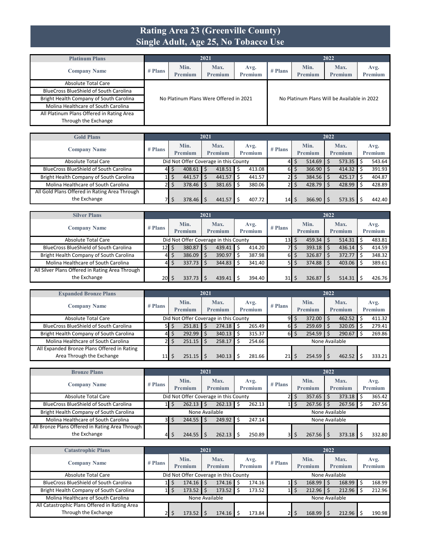#### **Rating Area 23 (Greenville County) Single Adult, Age 25, No Tobacco Use**

| <b>Platinum Plans</b>                         |           |                 | 2021                                   |                        |           |                                             | 2022                   |                 |
|-----------------------------------------------|-----------|-----------------|----------------------------------------|------------------------|-----------|---------------------------------------------|------------------------|-----------------|
| <b>Company Name</b>                           | $#$ Plans | Min.<br>Premium | Max.<br><b>Premium</b>                 | Avg.<br><b>Premium</b> | $#$ Plans | Min.<br>Premium                             | Max.<br><b>Premium</b> | Avg.<br>Premium |
| <b>Absolute Total Care</b>                    |           |                 |                                        |                        |           |                                             |                        |                 |
| <b>BlueCross BlueShield of South Carolina</b> |           |                 |                                        |                        |           |                                             |                        |                 |
| Bright Health Company of South Carolina       |           |                 | No Platinum Plans Were Offered in 2021 |                        |           | No Platinum Plans Will be Available in 2022 |                        |                 |
| Molina Healthcare of South Carolina           |           |                 |                                        |                        |           |                                             |                        |                 |
| All Platinum Plans Offered in Rating Area     |           |                 |                                        |                        |           |                                             |                        |                 |
| Through the Exchange                          |           |                 |                                        |                        |           |                                             |                        |                 |

| <b>Gold Plans</b>                             |           |                                       | 2021 |                        |                        |           |    |                 | 2022 |                        |                 |
|-----------------------------------------------|-----------|---------------------------------------|------|------------------------|------------------------|-----------|----|-----------------|------|------------------------|-----------------|
| <b>Company Name</b>                           | $#$ Plans | Min.<br>Premium                       |      | Max.<br><b>Premium</b> | Avg.<br><b>Premium</b> | $#$ Plans |    | Min.<br>Premium |      | Max.<br><b>Premium</b> | Avg.<br>Premium |
| Absolute Total Care                           |           | Did Not Offer Coverage in this County |      |                        |                        |           | د  | 514.69          |      | $573.35$ \$            | 543.64          |
| <b>BlueCross BlueShield of South Carolina</b> | 41        | 408.61                                |      | 418.51                 | 413.08                 | 61        | \$ | 366.90          |      | 414.32                 | 391.93          |
| Bright Health Company of South Carolina       |           | 441.57                                |      | 441.57                 | 441.57                 |           |    | 384.56          |      | 425.17                 | 404.87          |
| Molina Healthcare of South Carolina           |           | 378.46                                |      | 381.65                 | 380.06                 |           |    | 428.79          |      | 428.99 \$              | 428.89          |
| All Gold Plans Offered in Rating Area Through |           |                                       |      |                        |                        |           |    |                 |      |                        |                 |
| the Exchange                                  |           | 378.46                                |      | 441.57                 | 407.72                 | 14        | Ŝ  | 366.90          |      | $573.35$ $\frac{1}{5}$ | 442.40          |

| <b>Silver Plans</b>                             |           |                                       | 2021 |                        |    |                        |           |              |                        | 2022 |                        |                 |
|-------------------------------------------------|-----------|---------------------------------------|------|------------------------|----|------------------------|-----------|--------------|------------------------|------|------------------------|-----------------|
| <b>Company Name</b>                             | $#$ Plans | Min.<br>Premium                       |      | Max.<br><b>Premium</b> |    | Avg.<br><b>Premium</b> | $#$ Plans |              | Min.<br>Premium        |      | Max.<br><b>Premium</b> | Avg.<br>Premium |
|                                                 |           |                                       |      |                        |    |                        |           |              |                        |      |                        |                 |
| <b>Absolute Total Care</b>                      |           | Did Not Offer Coverage in this County |      |                        |    |                        | 13        | \$           | $459.34$ \$            |      | 514.31                 | 483.81          |
| <b>BlueCross BlueShield of South Carolina</b>   | 12   \$   | 380.87                                | l \$ | 439.41                 | Ś. | 414.20                 |           | $\mathsf{d}$ | $393.18$ \$            |      | 436.14                 | 414.59          |
| Bright Health Company of South Carolina         | 41        | 386.09                                |      | 390.97                 |    | 387.98                 | 61        | \$           | $326.87$ $\frac{1}{5}$ |      | 372.77                 | 348.32          |
| Molina Healthcare of South Carolina             | 41        | $337.73$ \$                           |      | 344.83                 |    | 341.40                 | 51        | \$           | $374.88$ \$            |      | 403.06                 | 389.61          |
| All Silver Plans Offered in Rating Area Through |           |                                       |      |                        |    |                        |           |              |                        |      |                        |                 |
| the Exchange                                    | \$  20    | 337.73                                |      | 439.41                 |    | 394.40                 | 31        | S            | 326.87                 |      | 514.31                 | 426.76          |

| <b>Expanded Bronze Plans</b>                  |           |                                       | 2021 |                        |   |                 |                 |    |                        | 2022 |                        |                 |
|-----------------------------------------------|-----------|---------------------------------------|------|------------------------|---|-----------------|-----------------|----|------------------------|------|------------------------|-----------------|
| <b>Company Name</b>                           | $#$ Plans | Min.<br><b>Premium</b>                |      | Max.<br><b>Premium</b> |   | Avg.<br>Premium | $#$ Plans       |    | Min.<br><b>Premium</b> |      | Max.<br><b>Premium</b> | Avg.<br>Premium |
| Absolute Total Care                           |           | Did Not Offer Coverage in this County |      |                        |   |                 | 91              | Ŝ. | 372.00                 |      | 462.52                 | 411.32          |
| <b>BlueCross BlueShield of South Carolina</b> | 51        | $251.81$ S                            |      | 274.18                 |   | 265.49          | $6\blacksquare$ | Ŝ. | 259.69                 |      | 320.05                 | 279.41          |
| Bright Health Company of South Carolina       | 41        | $292.99$ \$                           |      | 340.13                 |   | 315.37          | $6\blacksquare$ |    | 254.59                 |      | 290.67                 | 269.86          |
| Molina Healthcare of South Carolina           | 21        | $251.15$ $\frac{1}{5}$                |      | 258.17                 | Ŝ | 254.66          |                 |    | None Available         |      |                        |                 |
| All Expanded Bronze Plans Offered in Rating   |           |                                       |      |                        |   |                 |                 |    |                        |      |                        |                 |
| Area Through the Exchange                     | 11        | $251.15$ $\frac{1}{5}$                |      | 340.13                 |   | 281.66          | 21              |    | 254.59                 |      | 462.52                 | 333.21          |

| <b>Bronze Plans</b>                             |                |                        | 2021                                  |                 |           |                 | 2022                   |                 |
|-------------------------------------------------|----------------|------------------------|---------------------------------------|-----------------|-----------|-----------------|------------------------|-----------------|
| <b>Company Name</b>                             | $#$ Plans      | Min.<br><b>Premium</b> | Max.<br>Premium                       | Avg.<br>Premium | $#$ Plans | Min.<br>Premium | Max.<br><b>Premium</b> | Avg.<br>Premium |
| <b>Absolute Total Care</b>                      |                |                        | Did Not Offer Coverage in this County |                 |           | 357.65<br>Ś.    | 373.18                 | 365.42          |
| <b>BlueCross BlueShield of South Carolina</b>   |                | $262.13$   \$          | 262.13                                | 262.13<br>Ś     |           | 267.56          | 267.56                 | 267.56          |
| Bright Health Company of South Carolina         |                |                        | None Available                        |                 |           |                 | None Available         |                 |
| Molina Healthcare of South Carolina             | 3 <sup>1</sup> | $244.55$ \$            | 249.92                                | 247.14<br>Ś     |           |                 | None Available         |                 |
| All Bronze Plans Offered in Rating Area Through |                |                        |                                       |                 |           |                 |                        |                 |
| the Exchange                                    | 41             | $244.55$ $\frac{1}{5}$ | 262.13                                | 250.89          | 31        | 267.56          | 373.18                 | 332.80          |

| <b>Catastrophic Plans</b>                     |           |                                       | 2021 |                        |                 |           |                 | 2022 |                        |                 |
|-----------------------------------------------|-----------|---------------------------------------|------|------------------------|-----------------|-----------|-----------------|------|------------------------|-----------------|
| <b>Company Name</b>                           | $#$ Plans | Min.<br><b>Premium</b>                |      | Max.<br><b>Premium</b> | Avg.<br>Premium | $#$ Plans | Min.<br>Premium |      | Max.<br><b>Premium</b> | Avg.<br>Premium |
| Absolute Total Care                           |           | Did Not Offer Coverage in this County |      |                        |                 |           |                 |      | None Available         |                 |
| <b>BlueCross BlueShield of South Carolina</b> |           | 174.16                                |      | 174.16                 | 174.16          |           | 168.99          |      | 168.99                 | 168.99          |
| Bright Health Company of South Carolina       |           | 173.52                                |      | 173.52                 | 173.52          |           | 212.96          |      | 212.96                 | 212.96          |
| Molina Healthcare of South Carolina           |           | None Available                        |      |                        |                 |           |                 |      | None Available         |                 |
| All Catastrophic Plans Offered in Rating Area |           |                                       |      |                        |                 |           |                 |      |                        |                 |
| Through the Exchange                          |           | 173.52                                |      | 174.16                 | 173.84          |           | 168.99          |      | 212.96                 | 190.98          |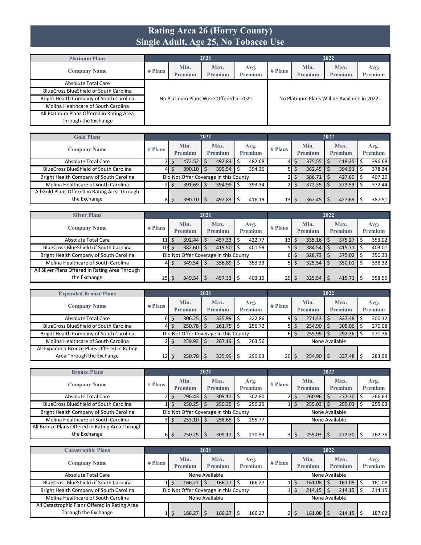#### **Rating Area 26 (Horry County) Single Adult, Age 25, No Tobacco Use**

| <b>Platinum Plans</b>                         |           |                                        | 2021                   |                        |           |                                             | 2022                   |                        |
|-----------------------------------------------|-----------|----------------------------------------|------------------------|------------------------|-----------|---------------------------------------------|------------------------|------------------------|
| <b>Company Name</b>                           | $#$ Plans | Min.<br>Premium                        | Max.<br><b>Premium</b> | Avg.<br><b>Premium</b> | $#$ Plans | Min.<br>Premium                             | Max.<br><b>Premium</b> | Avg.<br><b>Premium</b> |
| Absolute Total Care                           |           |                                        |                        |                        |           |                                             |                        |                        |
| <b>BlueCross BlueShield of South Carolina</b> |           |                                        |                        |                        |           |                                             |                        |                        |
| Bright Health Company of South Carolina       |           | No Platinum Plans Were Offered in 2021 |                        |                        |           | No Platinum Plans Will be Available in 2022 |                        |                        |
| Molina Healthcare of South Carolina           |           |                                        |                        |                        |           |                                             |                        |                        |
| All Platinum Plans Offered in Rating Area     |           |                                        |                        |                        |           |                                             |                        |                        |
| Through the Exchange                          |           |                                        |                        |                        |           |                                             |                        |                        |

| <b>Gold Plans</b>                             |           |         | 2021 |                                       |                |           |    |         | 2022 |                |         |
|-----------------------------------------------|-----------|---------|------|---------------------------------------|----------------|-----------|----|---------|------|----------------|---------|
| <b>Company Name</b>                           | $#$ Plans | Min.    |      | Max.                                  | Avg.           | $#$ Plans |    | Min.    |      | Max.           | Avg.    |
|                                               |           | Premium |      | <b>Premium</b>                        | <b>Premium</b> |           |    | Premium |      | <b>Premium</b> | Premium |
| Absolute Total Care                           |           | 472.52  |      | 492.83                                | 482.68         | 41        | S  | 375.55  |      | $418.35$ \$    | 396.68  |
| <b>BlueCross BlueShield of South Carolina</b> | 4         | 390.10  |      | 399.54                                | 394.36         | 51        | \$ | 362.45  |      | 394.91         | 378.34  |
| Bright Health Company of South Carolina       |           |         |      | Did Not Offer Coverage in this County |                |           | S  | 386.71  |      | 427.69         | 407.20  |
| Molina Healthcare of South Carolina           |           | 391.69  |      | 394.99                                | 393.34         |           | S  | 372.35  |      | 372.53         | 372.44  |
| All Gold Plans Offered in Rating Area Through |           |         |      |                                       |                |           |    |         |      |                |         |
| the Exchange                                  | 81        | 390.10  |      | 492.83                                | 416.19         | 13        |    | 362.45  |      | $427.69$ \$    | 387.51  |

| <b>Silver Plans</b>                             |                 |                        | 2021 |                                       |   |                        | 2022      |    |                    |  |                        |  |                 |  |  |
|-------------------------------------------------|-----------------|------------------------|------|---------------------------------------|---|------------------------|-----------|----|--------------------|--|------------------------|--|-----------------|--|--|
| <b>Company Name</b>                             | $#$ Plans       | Min.<br><b>Premium</b> |      | Max.<br>Premium                       |   | Avg.<br><b>Premium</b> | $#$ Plans |    | Min.<br>Premium    |  | Max.<br><b>Premium</b> |  | Avg.<br>Premium |  |  |
| Absolute Total Care                             | $11 \mid 5$     | $392.44$ \$            |      | 457.33                                | Ŝ | 422.77                 | 13        | \$ | $335.16$ \$        |  | 375.27                 |  | 353.02          |  |  |
| <b>BlueCross BlueShield of South Carolina</b>   | $10\frac{1}{5}$ | $382.60$ \$            |      | 419.50                                |   | 401.59                 | 51        | \$ | $384.54$ \$        |  | 415.71                 |  | 403.01          |  |  |
| Bright Health Company of South Carolina         |                 |                        |      | Did Not Offer Coverage in this County |   |                        | 61        | \$ | $328.73$ \$        |  | 375.02                 |  | 350.33          |  |  |
| Molina Healthcare of South Carolina             | 41              | $349.54$ \$            |      | 356.89                                | Ŝ | 353.33                 | 51        | \$ | $325.54$ \$        |  | 350.01                 |  | 338.32          |  |  |
| All Silver Plans Offered in Rating Area Through |                 |                        |      |                                       |   |                        |           |    |                    |  |                        |  |                 |  |  |
| the Exchange                                    | 25 I S          | 349.54                 |      | 457.33                                |   | 403.19                 | 29        | S  | $325.54$ $\mid$ \$ |  | 415.71                 |  | 358.55          |  |  |

| <b>Expanded Bronze Plans</b>                  |                 |                                       |                 | 2021 |                                       |  |                        |           |    |                 | 2022 |                        |                 |
|-----------------------------------------------|-----------------|---------------------------------------|-----------------|------|---------------------------------------|--|------------------------|-----------|----|-----------------|------|------------------------|-----------------|
| <b>Company Name</b>                           | $#$ Plans       |                                       | Min.<br>Premium |      | Max.<br><b>Premium</b>                |  | Avg.<br><b>Premium</b> | $#$ Plans |    | Min.<br>Premium |      | Max.<br><b>Premium</b> | Avg.<br>Premium |
| Absolute Total Care                           | 61              | е                                     | 306.25          |      | 335.99                                |  | 322.86                 | 9         | Ś  | 271.43          |      | 337.48                 | 300.12          |
| <b>BlueCross BlueShield of South Carolina</b> | 41              |                                       | 250.78          |      | 261.75                                |  | 256.72                 | 51        | Ś  | 254.90          |      | 305.06                 | 270.08          |
| Bright Health Company of South Carolina       |                 |                                       |                 |      | Did Not Offer Coverage in this County |  |                        | 61        | \$ | 255.99          |      | 292.36                 | 271.36          |
| Molina Healthcare of South Carolina           |                 | 259.93<br>267.19<br>263.56<br>Ś<br>.S |                 |      |                                       |  |                        |           |    | None Available  |      |                        |                 |
| All Expanded Bronze Plans Offered in Rating   |                 |                                       |                 |      |                                       |  |                        |           |    |                 |      |                        |                 |
| Area Through the Exchange                     | 12 <sub>l</sub> |                                       | 250.78          |      | 335.99                                |  | 290.93                 | <b>20</b> | S. | 254.90          |      | 337.48                 | 283.98          |

| <b>Bronze Plans</b>                             |           |                        | 2021 |                                       |    |                 |                |  |                        | 2022 |                 |  |                 |
|-------------------------------------------------|-----------|------------------------|------|---------------------------------------|----|-----------------|----------------|--|------------------------|------|-----------------|--|-----------------|
| <b>Company Name</b>                             | $#$ Plans | Min.<br><b>Premium</b> |      | Max.<br><b>Premium</b>                |    | Avg.<br>Premium | $#$ Plans      |  | Min.<br><b>Premium</b> |      | Max.<br>Premium |  | Avg.<br>Premium |
| <b>Absolute Total Care</b>                      | 21        | $296.43$ \$            |      | 309.17                                | Ś  | 302.80          |                |  | 260.96                 |      | 272.30          |  | 266.63          |
| <b>BlueCross BlueShield of South Carolina</b>   |           | 250.25                 |      | 250.25                                |    | 250.25          |                |  | 255.03                 |      | 255.03          |  | 255.03          |
| Bright Health Company of South Carolina         |           |                        |      | Did Not Offer Coverage in this County |    |                 |                |  | None Available         |      |                 |  |                 |
| Molina Healthcare of South Carolina             | зΙ        | $253.10$ \$            |      | 258.65                                | .S | 255.77          | None Available |  |                        |      |                 |  |                 |
| All Bronze Plans Offered in Rating Area Through |           |                        |      |                                       |    |                 |                |  |                        |      |                 |  |                 |
| the Exchange                                    | 61        | 250.25                 |      | 309.17                                |    | 270.53          |                |  | 255.03                 |      | 272.30          |  | 262.76          |

| <b>Catastrophic Plans</b>                     |                            |                                                                    |                                       | 2021           |        |                |        |           |  |                 | 2022 |                        |  |                 |
|-----------------------------------------------|----------------------------|--------------------------------------------------------------------|---------------------------------------|----------------|--------|----------------|--------|-----------|--|-----------------|------|------------------------|--|-----------------|
| <b>Company Name</b>                           | $#$ Plans                  | Max.<br>Min.<br><b>Premium</b><br><b>Premium</b><br><b>Premium</b> |                                       |                |        |                |        | $#$ Plans |  | Min.<br>Premium |      | Max.<br><b>Premium</b> |  | Avg.<br>Premium |
| Absolute Total Care                           |                            | None Available                                                     |                                       | None Available |        |                |        |           |  |                 |      |                        |  |                 |
| <b>BlueCross BlueShield of South Carolina</b> | 166.27<br>166.27<br>166.27 |                                                                    |                                       |                |        |                |        |           |  | 161.08          |      | 161.08                 |  | 161.08          |
| Bright Health Company of South Carolina       |                            |                                                                    | Did Not Offer Coverage in this County |                |        |                |        |           |  | 214.15          |      | 214.15                 |  | 214.15          |
| Molina Healthcare of South Carolina           |                            | None Available                                                     |                                       |                |        | None Available |        |           |  |                 |      |                        |  |                 |
| All Catastrophic Plans Offered in Rating Area |                            |                                                                    |                                       |                |        |                |        |           |  |                 |      |                        |  |                 |
| Through the Exchange                          |                            |                                                                    | 166.27                                |                | 166.27 |                | 166.27 |           |  | 161.08          |      | 214.15                 |  | 187.62          |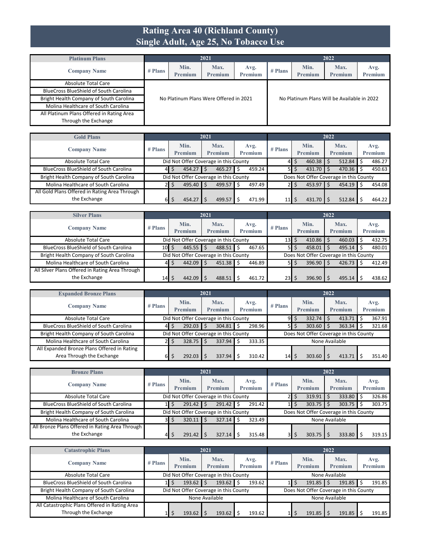#### **Rating Area 40 (Richland County) Single Adult, Age 25, No Tobacco Use**

| <b>Platinum Plans</b>                         |           |                                        | 2021                   |                        |                                             | 2022            |                        |                 |  |  |  |
|-----------------------------------------------|-----------|----------------------------------------|------------------------|------------------------|---------------------------------------------|-----------------|------------------------|-----------------|--|--|--|
| <b>Company Name</b>                           | $#$ Plans | Min.<br>Premium                        | Max.<br><b>Premium</b> | Avg.<br><b>Premium</b> | $#$ Plans                                   | Min.<br>Premium | Max.<br><b>Premium</b> | Avg.<br>Premium |  |  |  |
| Absolute Total Care                           |           |                                        |                        |                        |                                             |                 |                        |                 |  |  |  |
| <b>BlueCross BlueShield of South Carolina</b> |           |                                        |                        |                        |                                             |                 |                        |                 |  |  |  |
| Bright Health Company of South Carolina       |           | No Platinum Plans Were Offered in 2021 |                        |                        | No Platinum Plans Will be Available in 2022 |                 |                        |                 |  |  |  |
| Molina Healthcare of South Carolina           |           |                                        |                        |                        |                                             |                 |                        |                 |  |  |  |
| All Platinum Plans Offered in Rating Area     |           |                                        |                        |                        |                                             |                 |                        |                 |  |  |  |
| Through the Exchange                          |           |                                        |                        |                        |                                             |                 |                        |                 |  |  |  |

| <b>Gold Plans</b>                             |                                        |  |                 | 2021 |                                       |   |                        |                 |    |                                        | 2022 |                        |                 |
|-----------------------------------------------|----------------------------------------|--|-----------------|------|---------------------------------------|---|------------------------|-----------------|----|----------------------------------------|------|------------------------|-----------------|
| <b>Company Name</b>                           | $#$ Plans                              |  | Min.<br>Premium |      | Max.<br><b>Premium</b>                |   | Avg.<br><b>Premium</b> | $#$ Plans       |    | Min.<br>Premium                        |      | Max.<br><b>Premium</b> | Avg.<br>Premium |
| Absolute Total Care                           | Did Not Offer Coverage in this County  |  |                 |      |                                       |   |                        |                 | S  | 460.38                                 |      | $512.84$ \$            | 486.27          |
| <b>BlueCross BlueShield of South Carolina</b> | 454.27<br>459.24<br>465.27<br>Ŝ.<br>41 |  |                 |      |                                       |   |                        | 51              | \$ | 431.70                                 |      | $470.36$ \$            | 450.63          |
| Bright Health Company of South Carolina       |                                        |  |                 |      | Did Not Offer Coverage in this County |   |                        |                 |    | Does Not Offer Coverage in this County |      |                        |                 |
| Molina Healthcare of South Carolina           |                                        |  | $495.40$ \$     |      | 499.57                                | Ŝ | 497.49                 |                 | S  | 453.97                                 |      | $454.19$ \$            | 454.08          |
| All Gold Plans Offered in Rating Area Through |                                        |  |                 |      |                                       |   |                        |                 |    |                                        |      |                        |                 |
| the Exchange                                  | 61                                     |  | 454.27          |      | 499.57                                |   | 471.99                 | 11 <sub>l</sub> |    | 431.70                                 |      | 512.84                 | 464.22          |

| <b>Silver Plans</b>                             |           |                        | 2021                                  |                 |           |                    | 2022                                   |                        |
|-------------------------------------------------|-----------|------------------------|---------------------------------------|-----------------|-----------|--------------------|----------------------------------------|------------------------|
| <b>Company Name</b>                             | $#$ Plans | Min.<br><b>Premium</b> | Max.<br><b>Premium</b>                | Avg.<br>Premium | $#$ Plans | Min.<br>Premium    | Max.<br>Premium                        | Avg.<br><b>Premium</b> |
| Absolute Total Care                             |           |                        | Did Not Offer Coverage in this County |                 | 13        | $410.86$ \$<br>Ś   | 460.03                                 | 432.75                 |
| <b>BlueCross BlueShield of South Carolina</b>   | 10 S      | $445.55$ \$            | 488.51                                | 467.65<br>Ŝ     | 51        | 458.01<br>\$       | 495.14                                 | 480.01                 |
| Bright Health Company of South Carolina         |           |                        | Did Not Offer Coverage in this County |                 |           |                    | Does Not Offer Coverage in this County |                        |
| Molina Healthcare of South Carolina             | 41        | 442.09                 | 451.38<br>Ŝ.                          | 446.89<br>Ŝ     | 5I        | $396.90$ \$<br>\$  | 426.73                                 | 412.49                 |
| All Silver Plans Offered in Rating Area Through |           |                        |                                       |                 |           |                    |                                        |                        |
| the Exchange                                    | 14        | 442.09                 | 488.51                                | 461.72          | 23        | $396.90$   \$<br>Ś | 495.14                                 | 438.62                 |

| <b>Expanded Bronze Plans</b>                  |                                                                                                      |             | 2021                                  |             |    |                        | 2022                                   |                 |
|-----------------------------------------------|------------------------------------------------------------------------------------------------------|-------------|---------------------------------------|-------------|----|------------------------|----------------------------------------|-----------------|
| <b>Company Name</b>                           | Min.<br>Max.<br>Avg.<br>$#$ Plans<br>$#$ Plans<br><b>Premium</b><br><b>Premium</b><br><b>Premium</b> |             |                                       |             |    | Min.<br><b>Premium</b> | Max.<br><b>Premium</b>                 | Avg.<br>Premium |
| Absolute Total Care                           |                                                                                                      |             | Did Not Offer Coverage in this County |             | 91 | 332.74<br>Ś            | 413.71                                 | 367.91          |
| <b>BlueCross BlueShield of South Carolina</b> | 41                                                                                                   | $292.03$ \$ | 304.81                                | 298.96<br>Ś | 51 | Ŝ.<br>303.60           | 363.34                                 | 321.68          |
| Bright Health Company of South Carolina       |                                                                                                      |             | Did Not Offer Coverage in this County |             |    |                        | Does Not Offer Coverage in this County |                 |
| Molina Healthcare of South Carolina           | $328.75$ S<br>337.94<br>333.35<br>None Available<br>Ś<br>21                                          |             |                                       |             |    |                        |                                        |                 |
| All Expanded Bronze Plans Offered in Rating   |                                                                                                      |             |                                       |             |    |                        |                                        |                 |
| Area Through the Exchange                     | 61                                                                                                   | 292.03      | 337.94                                | 310.42      | 14 | Ś.<br>303.60           | 413.71                                 | 351.40          |

| <b>Bronze Plans</b>                             |                                                                                                      |        | 2021                                  |             |                                        |                        | 2022            |                 |  |  |
|-------------------------------------------------|------------------------------------------------------------------------------------------------------|--------|---------------------------------------|-------------|----------------------------------------|------------------------|-----------------|-----------------|--|--|
| <b>Company Name</b>                             | Max.<br>Min.<br>Avg.<br>$#$ Plans<br>$#$ Plans<br><b>Premium</b><br><b>Premium</b><br><b>Premium</b> |        |                                       |             |                                        | Min.<br><b>Premium</b> | Max.<br>Premium | Avg.<br>Premium |  |  |
| <b>Absolute Total Care</b>                      |                                                                                                      |        | Did Not Offer Coverage in this County |             |                                        | 319.91                 | 333.80          | 326.86          |  |  |
| <b>BlueCross BlueShield of South Carolina</b>   |                                                                                                      | 291.42 | 291.42                                | 291.42<br>Ś |                                        | 303.75                 | 303.75          | 303.75          |  |  |
| Bright Health Company of South Carolina         |                                                                                                      |        | Did Not Offer Coverage in this County |             | Does Not Offer Coverage in this County |                        |                 |                 |  |  |
| Molina Healthcare of South Carolina             | зΙ                                                                                                   | 320.11 | 327.14<br>-Ś                          | 323.49<br>S |                                        |                        | None Available  |                 |  |  |
| All Bronze Plans Offered in Rating Area Through |                                                                                                      |        |                                       |             |                                        |                        |                 |                 |  |  |
| the Exchange                                    | 41                                                                                                   | 291.42 | 327.14                                | 315.48      |                                        | 303.75                 | 333.80          | 319.15          |  |  |

| <b>Catastrophic Plans</b>                                             |           |                                       | 2021            |                        |                                        |                 | 2022                   |                 |  |  |  |
|-----------------------------------------------------------------------|-----------|---------------------------------------|-----------------|------------------------|----------------------------------------|-----------------|------------------------|-----------------|--|--|--|
| <b>Company Name</b>                                                   | $#$ Plans | Min.<br>Premium                       | Max.<br>Premium | Avg.<br><b>Premium</b> | $#$ Plans                              | Min.<br>Premium | Max.<br><b>Premium</b> | Avg.<br>Premium |  |  |  |
| Absolute Total Care                                                   |           | Did Not Offer Coverage in this County |                 |                        |                                        |                 | None Available         |                 |  |  |  |
| <b>BlueCross BlueShield of South Carolina</b>                         |           | $193.62$ \$                           | 193.62          | 193.62                 |                                        | 191.85          | $191.85$ \$            | 191.85          |  |  |  |
| Bright Health Company of South Carolina                               |           | Did Not Offer Coverage in this County |                 |                        | Does Not Offer Coverage in this County |                 |                        |                 |  |  |  |
| Molina Healthcare of South Carolina                                   |           |                                       | None Available  |                        |                                        |                 | None Available         |                 |  |  |  |
| All Catastrophic Plans Offered in Rating Area<br>Through the Exchange |           | 193.62                                | 193.62          | 193.62                 |                                        | 191.85          | $191.85$ $\frac{1}{5}$ | 191.85          |  |  |  |